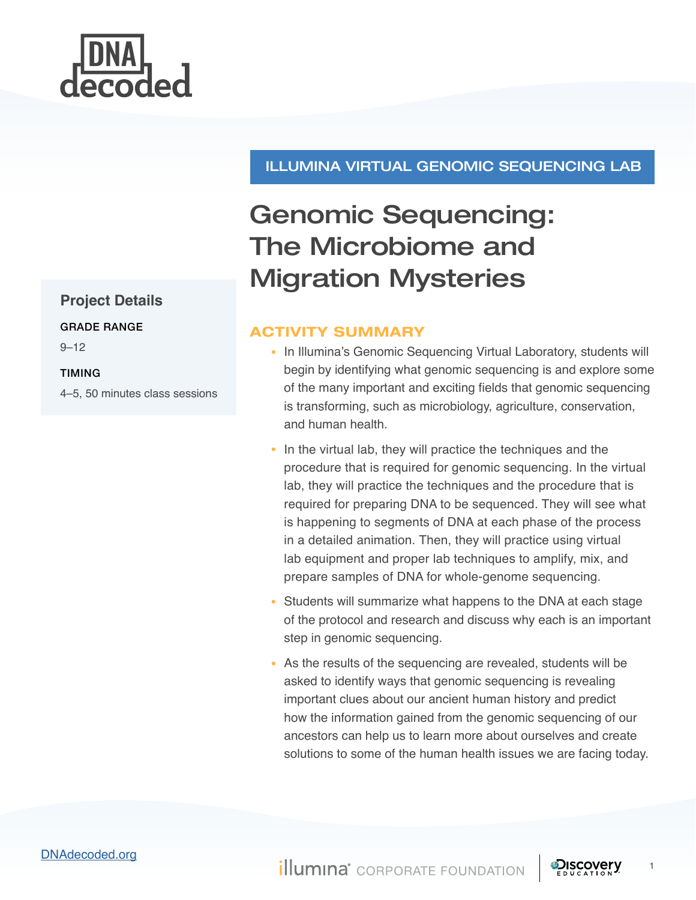

### **Project Details**

#### GRADE RANGE

 $9 - 12$ 

#### TIMING

4–5, 50 minutes class sessions

### ILLUMINA VIRTUAL GENOMIC SEQUENCING LAB

# Genomic Sequencing: The Microbiome and Migration Mysteries

### ACTIVITY SUMMARY

- In Illumina's Genomic Sequencing Virtual Laboratory, students will begin by identifying what genomic sequencing is and explore some of the many important and exciting fields that genomic sequencing is transforming, such as microbiology, agriculture, conservation, and human health.
- In the virtual lab, they will practice the techniques and the procedure that is required for genomic sequencing. In the virtual lab, they will practice the techniques and the procedure that is required for preparing DNA to be sequenced. They will see what is happening to segments of DNA at each phase of the process in a detailed animation. Then, they will practice using virtual lab equipment and proper lab techniques to amplify, mix, and prepare samples of DNA for whole-genome sequencing.
- Students will summarize what happens to the DNA at each stage of the protocol and research and discuss why each is an important step in genomic sequencing.
- As the results of the sequencing are revealed, students will be asked to identify ways that genomic sequencing is revealing important clues about our ancient human history and predict how the information gained from the genomic sequencing of our ancestors can help us to learn more about ourselves and create solutions to some of the human health issues we are facing today.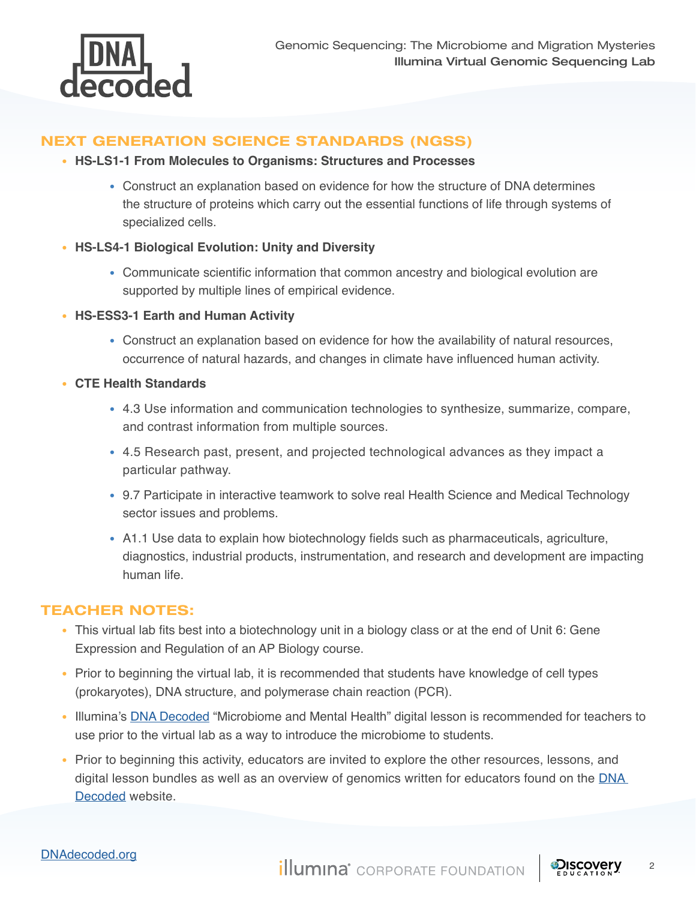

### NEXT GENERATION SCIENCE STANDARDS (NGSS)

- **HS-LS1-1 From Molecules to Organisms: Structures and Processes**
	- Construct an explanation based on evidence for how the structure of DNA determines the structure of proteins which carry out the essential functions of life through systems of specialized cells.
- **HS-LS4-1 Biological Evolution: Unity and Diversity**
	- Communicate scientific information that common ancestry and biological evolution are supported by multiple lines of empirical evidence.
- **HS-ESS3-1 Earth and Human Activity**
	- Construct an explanation based on evidence for how the availability of natural resources, occurrence of natural hazards, and changes in climate have influenced human activity.
- **CTE Health Standards**
	- 4.3 Use information and communication technologies to synthesize, summarize, compare, and contrast information from multiple sources.
	- 4.5 Research past, present, and projected technological advances as they impact a particular pathway.
	- 9.7 Participate in interactive teamwork to solve real Health Science and Medical Technology sector issues and problems.
	- A1.1 Use data to explain how biotechnology fields such as pharmaceuticals, agriculture, diagnostics, industrial products, instrumentation, and research and development are impacting human life.

### TEACHER NOTES:

- This virtual lab fits best into a biotechnology unit in a biology class or at the end of Unit 6: Gene Expression and Regulation of an AP Biology course.
- Prior to beginning the virtual lab, it is recommended that students have knowledge of cell types (prokaryotes), DNA structure, and polymerase chain reaction (PCR).
- Illumina's [DNA Decoded](https://dnadecoded.org/educator-resources.html) "Microbiome and Mental Health" digital lesson is recommended for teachers to use prior to the virtual lab as a way to introduce the microbiome to students.
- Prior to beginning this activity, educators are invited to explore the other resources, lessons, and digital lesson bundles as well as an overview of genomics written for educators found on the DNA [Decoded](https://dnadecoded.org/educator-resources.html) website.

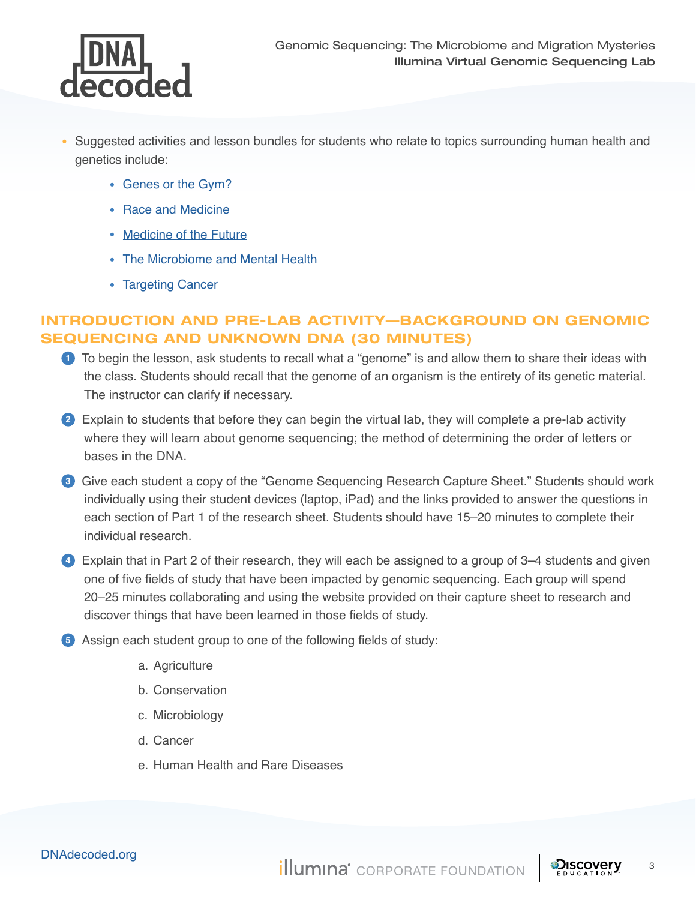

- Suggested activities and lesson bundles for students who relate to topics surrounding human health and genetics include:
	- [Genes or the Gym?](https://dnadecoded.org/pdfs/Illumina-DNADecoded-Activity-GenesandtheGym.pdf)
	- [Race and Medicine](https://dnadecoded.org/pdfs/Activity-Race_and_Medicine.pdf)
	- [Medicine of the Future](https://dnadecoded.org/pdfs/Activity-Medicine_of_the_Future.pdf)
	- [The Microbiome and Mental Health](https://dnadecoded.org/pdfs/Illumina-DNADecoded-DLB-TheMicrobiomeandMentalHealth.pdf)
	- [Targeting Cancer](https://dnadecoded.org/pdfs/Illumina-Targeting-Cancer-Educator-Guide.pdf)

### INTRODUCTION AND PRE-LAB ACTIVITY—BACKGROUND ON GENOMIC SEQUENCING AND UNKNOWN DNA (30 MINUTES)

- **1** To begin the lesson, ask students to recall what a "genome" is and allow them to share their ideas with the class. Students should recall that the genome of an organism is the entirety of its genetic material. The instructor can clarify if necessary.
- **2** Explain to students that before they can begin the virtual lab, they will complete a pre-lab activity where they will learn about genome sequencing; the method of determining the order of letters or bases in the DNA.
- **3** Give each student a copy of the "Genome Sequencing Research Capture Sheet." Students should work individually using their student devices (laptop, iPad) and the links provided to answer the questions in each section of Part 1 of the research sheet. Students should have 15–20 minutes to complete their individual research.
- **4** Explain that in Part 2 of their research, they will each be assigned to a group of 3–4 students and given one of five fields of study that have been impacted by genomic sequencing. Each group will spend 20–25 minutes collaborating and using the website provided on their capture sheet to research and discover things that have been learned in those fields of study.
- **5** Assign each student group to one of the following fields of study:
	- a. Agriculture
	- b. Conservation
	- c. Microbiology
	- d. Cancer
	- e. Human Health and Rare Diseases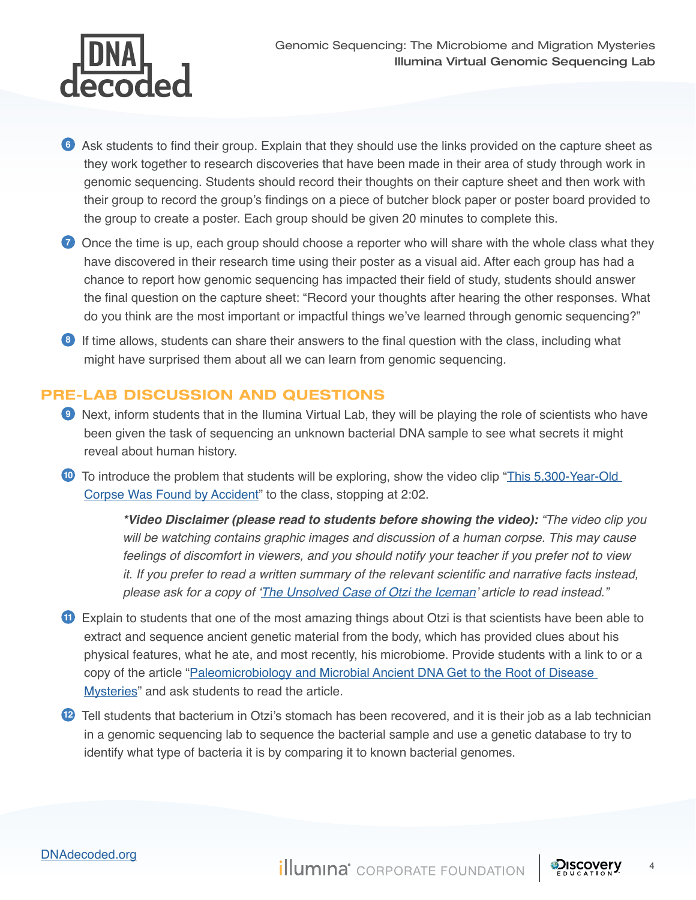- **6** Ask students to find their group. Explain that they should use the links provided on the capture sheet as they work together to research discoveries that have been made in their area of study through work in genomic sequencing. Students should record their thoughts on their capture sheet and then work with their group to record the group's findings on a piece of butcher block paper or poster board provided to the group to create a poster. Each group should be given 20 minutes to complete this.
- **7** Once the time is up, each group should choose a reporter who will share with the whole class what they have discovered in their research time using their poster as a visual aid. After each group has had a chance to report how genomic sequencing has impacted their field of study, students should answer the final question on the capture sheet: "Record your thoughts after hearing the other responses. What do you think are the most important or impactful things we've learned through genomic sequencing?"
- **8** If time allows, students can share their answers to the final question with the class, including what might have surprised them about all we can learn from genomic sequencing.

### PRE-LAB DISCUSSION AND QUESTIONS

- **9** Next, inform students that in the Ilumina Virtual Lab, they will be playing the role of scientists who have been given the task of sequencing an unknown bacterial DNA sample to see what secrets it might reveal about human history.
- **10** To introduce the problem that students will be exploring, show the video clip ["This 5,300-Year-Old](https://www.si.edu/object/5300-year-old-corpse-was-found-accident:yt_j8HXLqwD7uU)  [Corpse Was Found by Accident"](https://www.si.edu/object/5300-year-old-corpse-was-found-accident:yt_j8HXLqwD7uU) to the class, stopping at 2:02.

*\*Video Disclaimer (please read to students before showing the video): "The video clip you will be watching contains graphic images and discussion of a human corpse. This may cause feelings of discomfort in viewers, and you should notify your teacher if you prefer not to view*  it. If you prefer to read a written summary of the relevant scientific and narrative facts instead, please ask for a copy of '*[The Unsolved Case of Otzi the Iceman](https://daily.jstor.org/the-unsolved-case-of-otzi-the-iceman/)*' article to read instead."

- **11** Explain to students that one of the most amazing things about Otzi is that scientists have been able to extract and sequence ancient genetic material from the body, which has provided clues about his physical features, what he ate, and most recently, his microbiome. Provide students with a link to or a copy of the article "Paleomicrobiology and Microbial Ancient DNA Get to the Root of Disease [Mysteries](https://asm.org/Articles/2019/March/Paleomicrobiology-and-Microbial-Ancient-DNA-Get-to)" and ask students to read the article.
- **12** Tell students that bacterium in Otzi's stomach has been recovered, and it is their job as a lab technician in a genomic sequencing lab to sequence the bacterial sample and use a genetic database to try to identify what type of bacteria it is by comparing it to known bacterial genomes.

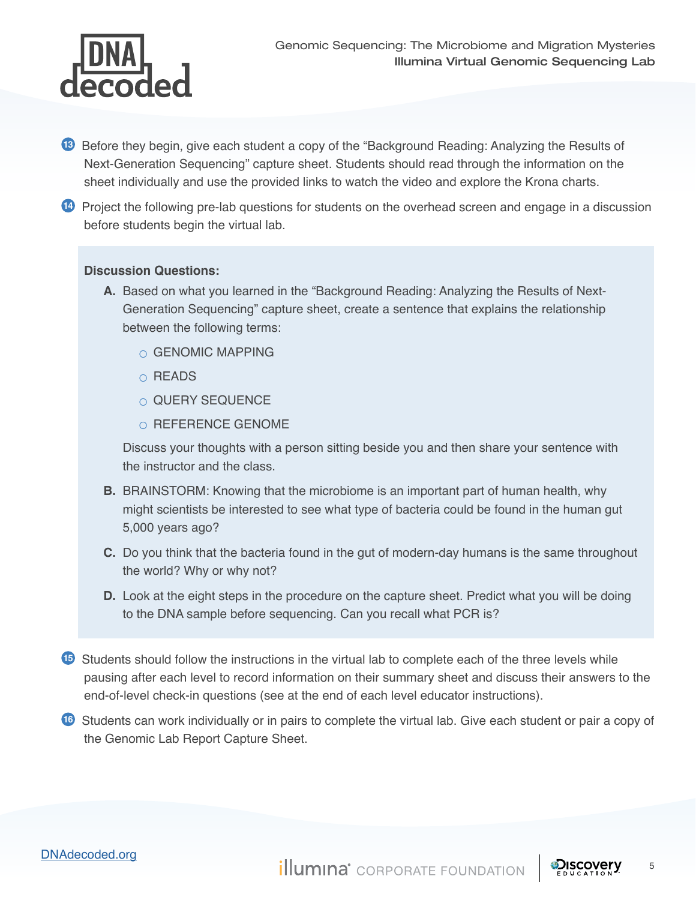

- **13** Before they begin, give each student a copy of the "Background Reading: Analyzing the Results of Next-Generation Sequencing" capture sheet. Students should read through the information on the sheet individually and use the provided links to watch the video and explore the Krona charts.
- **14** Project the following pre-lab questions for students on the overhead screen and engage in a discussion before students begin the virtual lab.

#### **Discussion Questions:**

- **A.** Based on what you learned in the "Background Reading: Analyzing the Results of Next-Generation Sequencing" capture sheet, create a sentence that explains the relationship between the following terms:
	- $\circ$  GENOMIC MAPPING
	- $\circ$  READS
	- QUERY SEQUENCE
	- REFERENCE GENOME

Discuss your thoughts with a person sitting beside you and then share your sentence with the instructor and the class.

- **B.** BRAINSTORM: Knowing that the microbiome is an important part of human health, why might scientists be interested to see what type of bacteria could be found in the human gut 5,000 years ago?
- **C.** Do you think that the bacteria found in the gut of modern-day humans is the same throughout the world? Why or why not?
- **D.** Look at the eight steps in the procedure on the capture sheet. Predict what you will be doing to the DNA sample before sequencing. Can you recall what PCR is?
- **15** Students should follow the instructions in the virtual lab to complete each of the three levels while pausing after each level to record information on their summary sheet and discuss their answers to the end-of-level check-in questions (see at the end of each level educator instructions).
- **16** Students can work individually or in pairs to complete the virtual lab. Give each student or pair a copy of the Genomic Lab Report Capture Sheet.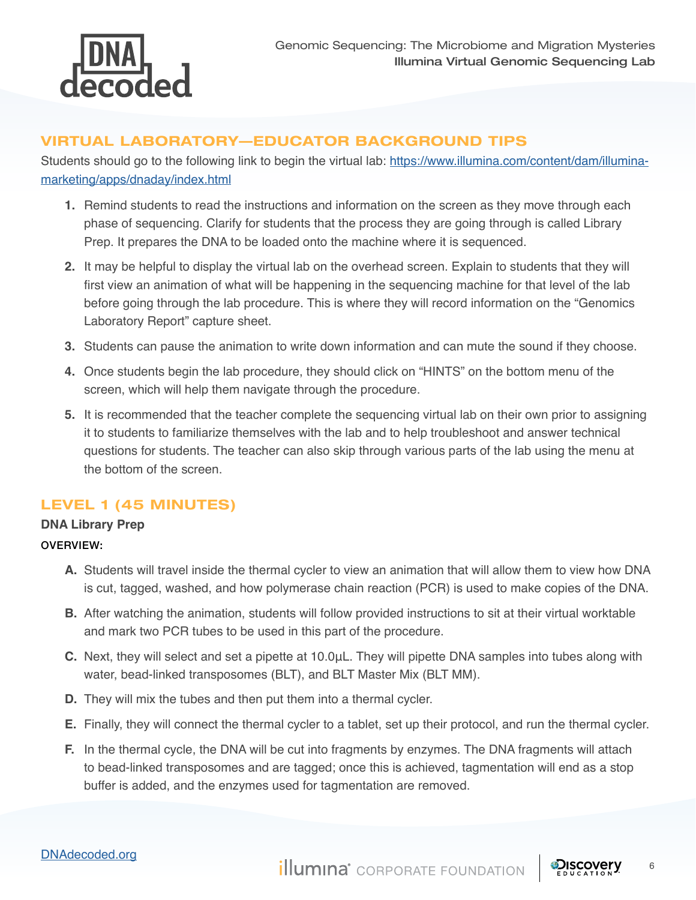

### VIRTUAL LABORATORY—EDUCATOR BACKGROUND TIPS

Students should go to the following link to begin the virtual lab: [https://www.illumina.com/content/dam/illumina](https://www.illumina.com/content/dam/illumina-marketing/apps/dnaday/index.html)[marketing/apps/dnaday/index.html](https://www.illumina.com/content/dam/illumina-marketing/apps/dnaday/index.html)

- **1.** Remind students to read the instructions and information on the screen as they move through each phase of sequencing. Clarify for students that the process they are going through is called Library Prep. It prepares the DNA to be loaded onto the machine where it is sequenced.
- **2.** It may be helpful to display the virtual lab on the overhead screen. Explain to students that they will first view an animation of what will be happening in the sequencing machine for that level of the lab before going through the lab procedure. This is where they will record information on the "Genomics Laboratory Report" capture sheet.
- **3.** Students can pause the animation to write down information and can mute the sound if they choose.
- **4.** Once students begin the lab procedure, they should click on "HINTS" on the bottom menu of the screen, which will help them navigate through the procedure.
- **5.** It is recommended that the teacher complete the sequencing virtual lab on their own prior to assigning it to students to familiarize themselves with the lab and to help troubleshoot and answer technical questions for students. The teacher can also skip through various parts of the lab using the menu at the bottom of the screen.

### LEVEL 1 (45 MINUTES)

### **DNA Library Prep**

### OVERVIEW:

- **A.** Students will travel inside the thermal cycler to view an animation that will allow them to view how DNA is cut, tagged, washed, and how polymerase chain reaction (PCR) is used to make copies of the DNA.
- **B.** After watching the animation, students will follow provided instructions to sit at their virtual worktable and mark two PCR tubes to be used in this part of the procedure.
- **C.** Next, they will select and set a pipette at 10.0μL. They will pipette DNA samples into tubes along with water, bead-linked transposomes (BLT), and BLT Master Mix (BLT MM).
- **D.** They will mix the tubes and then put them into a thermal cycler.
- **E.** Finally, they will connect the thermal cycler to a tablet, set up their protocol, and run the thermal cycler.
- **F.** In the thermal cycle, the DNA will be cut into fragments by enzymes. The DNA fragments will attach to bead-linked transposomes and are tagged; once this is achieved, tagmentation will end as a stop buffer is added, and the enzymes used for tagmentation are removed.

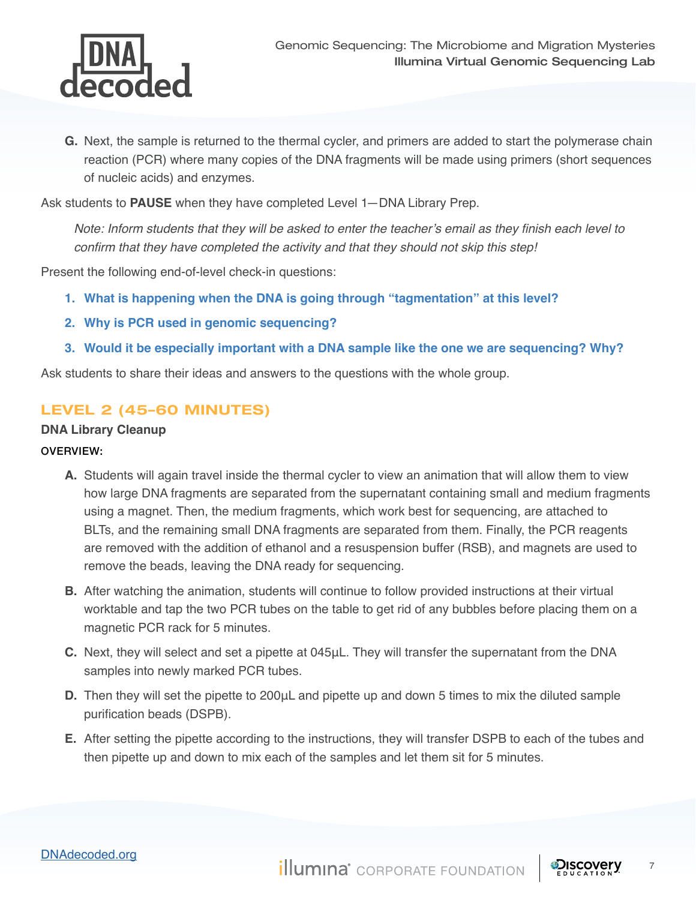

**G.** Next, the sample is returned to the thermal cycler, and primers are added to start the polymerase chain reaction (PCR) where many copies of the DNA fragments will be made using primers (short sequences of nucleic acids) and enzymes.

Ask students to **PAUSE** when they have completed Level 1—DNA Library Prep.

Note: Inform students that they will be asked to enter the teacher's email as they finish each level to confirm that they have completed the activity and that they should not skip this step!

Present the following end-of-level check-in questions:

- **1. What is happening when the DNA is going through "tagmentation" at this level?**
- **2. Why is PCR used in genomic sequencing?**
- **3. Would it be especially important with a DNA sample like the one we are sequencing? Why?**

Ask students to share their ideas and answers to the questions with the whole group.

### LEVEL 2 (45–60 MINUTES)

### **DNA Library Cleanup**

#### OVERVIEW:

- **A.** Students will again travel inside the thermal cycler to view an animation that will allow them to view how large DNA fragments are separated from the supernatant containing small and medium fragments using a magnet. Then, the medium fragments, which work best for sequencing, are attached to BLTs, and the remaining small DNA fragments are separated from them. Finally, the PCR reagents are removed with the addition of ethanol and a resuspension buffer (RSB), and magnets are used to remove the beads, leaving the DNA ready for sequencing.
- **B.** After watching the animation, students will continue to follow provided instructions at their virtual worktable and tap the two PCR tubes on the table to get rid of any bubbles before placing them on a magnetic PCR rack for 5 minutes.
- **C.** Next, they will select and set a pipette at 045μL. They will transfer the supernatant from the DNA samples into newly marked PCR tubes.
- **D.** Then they will set the pipette to 200μL and pipette up and down 5 times to mix the diluted sample purification beads (DSPB).
- **E.** After setting the pipette according to the instructions, they will transfer DSPB to each of the tubes and then pipette up and down to mix each of the samples and let them sit for 5 minutes.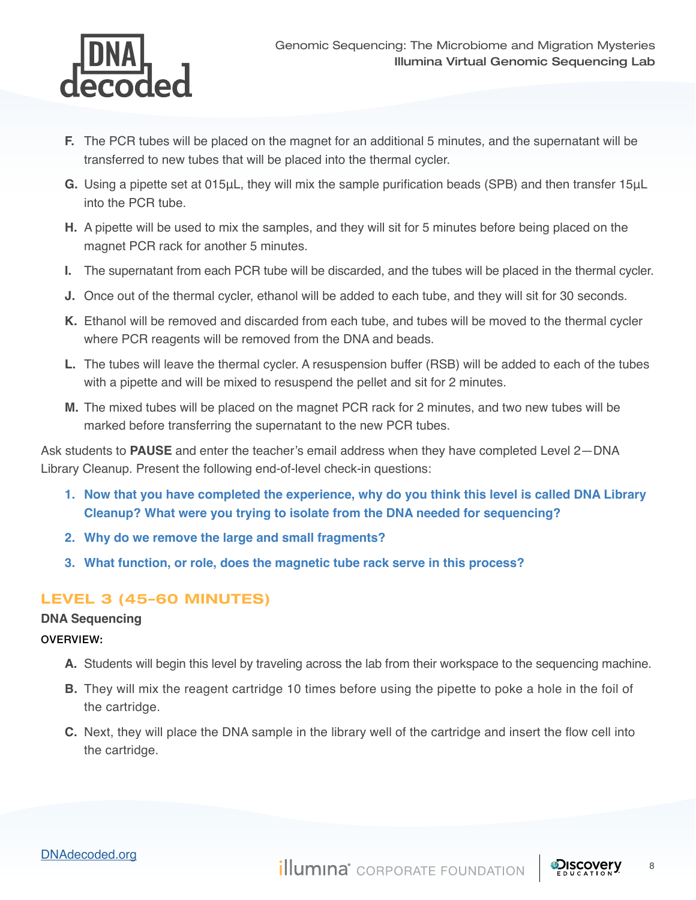

- **F.** The PCR tubes will be placed on the magnet for an additional 5 minutes, and the supernatant will be transferred to new tubes that will be placed into the thermal cycler.
- **G.** Using a pipette set at 015μL, they will mix the sample purification beads (SPB) and then transfer 15μL into the PCR tube.
- **H.** A pipette will be used to mix the samples, and they will sit for 5 minutes before being placed on the magnet PCR rack for another 5 minutes.
- **I.** The supernatant from each PCR tube will be discarded, and the tubes will be placed in the thermal cycler.
- **J.** Once out of the thermal cycler, ethanol will be added to each tube, and they will sit for 30 seconds.
- **K.** Ethanol will be removed and discarded from each tube, and tubes will be moved to the thermal cycler where PCR reagents will be removed from the DNA and beads.
- **L.** The tubes will leave the thermal cycler. A resuspension buffer (RSB) will be added to each of the tubes with a pipette and will be mixed to resuspend the pellet and sit for 2 minutes.
- **M.** The mixed tubes will be placed on the magnet PCR rack for 2 minutes, and two new tubes will be marked before transferring the supernatant to the new PCR tubes.

Ask students to **PAUSE** and enter the teacher's email address when they have completed Level 2—DNA Library Cleanup. Present the following end-of-level check-in questions:

- **1. Now that you have completed the experience, why do you think this level is called DNA Library Cleanup? What were you trying to isolate from the DNA needed for sequencing?**
- **2. Why do we remove the large and small fragments?**
- **3. What function, or role, does the magnetic tube rack serve in this process?**

### LEVEL 3 (45–60 MINUTES)

### **DNA Sequencing**

### OVERVIEW:

- **A.** Students will begin this level by traveling across the lab from their workspace to the sequencing machine.
- **B.** They will mix the reagent cartridge 10 times before using the pipette to poke a hole in the foil of the cartridge.
- **C.** Next, they will place the DNA sample in the library well of the cartridge and insert the flow cell into the cartridge.

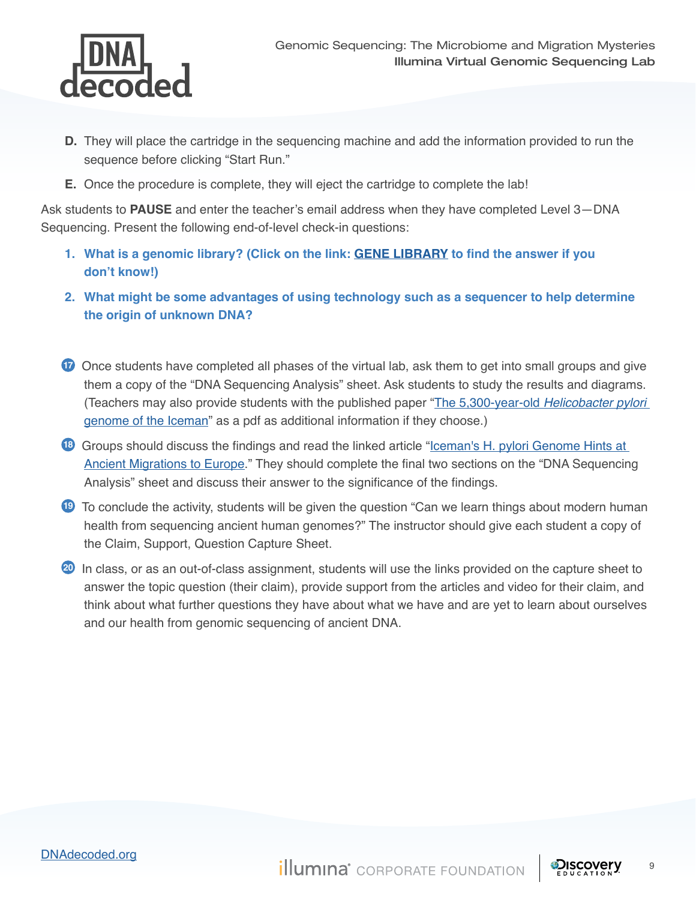

- **D.** They will place the cartridge in the sequencing machine and add the information provided to run the sequence before clicking "Start Run."
- **E.** Once the procedure is complete, they will eject the cartridge to complete the lab!

Ask students to **PAUSE** and enter the teacher's email address when they have completed Level 3—DNA Sequencing. Present the following end-of-level check-in questions:

- **1. What is a genomic library? (Click on the link: [GENE LIBRARY](https://www.ncbi.nlm.nih.gov/mesh?Db=mesh&Cmd=DetailsSearch&Term=%22Gene+Library%22%5BMeSH+Terms%5D) to find the answer if you don't know!)**
- **2. What might be some advantages of using technology such as a sequencer to help determine the origin of unknown DNA?**
- **17** Once students have completed all phases of the virtual lab, ask them to get into small groups and give them a copy of the "DNA Sequencing Analysis" sheet. Ask students to study the results and diagrams. (Teachers may also provide students with the published paper ["The 5,300-year-old](https://www.ncbi.nlm.nih.gov/pmc/articles/PMC4775254/pdf/nihms-761290.pdf) *Helicobacter pylori* [genome of the Iceman](https://www.ncbi.nlm.nih.gov/pmc/articles/PMC4775254/pdf/nihms-761290.pdf)" as a pdf as additional information if they choose.)
- **18** Groups should discuss the findings and read the linked article ["Iceman's H. pylori Genome Hints at](https://www.pbs.org/wgbh/nova/article/ancient-icemans-h-pylori-genome-hints-at-ancient-migrations-to-europe/)  [Ancient Migrations to Europe](https://www.pbs.org/wgbh/nova/article/ancient-icemans-h-pylori-genome-hints-at-ancient-migrations-to-europe/)." They should complete the final two sections on the "DNA Sequencing Analysis" sheet and discuss their answer to the significance of the findings.
- **19** To conclude the activity, students will be given the question "Can we learn things about modern human health from sequencing ancient human genomes?" The instructor should give each student a copy of the Claim, Support, Question Capture Sheet.
- **20** In class, or as an out-of-class assignment, students will use the links provided on the capture sheet to answer the topic question (their claim), provide support from the articles and video for their claim, and think about what further questions they have about what we have and are yet to learn about ourselves and our health from genomic sequencing of ancient DNA.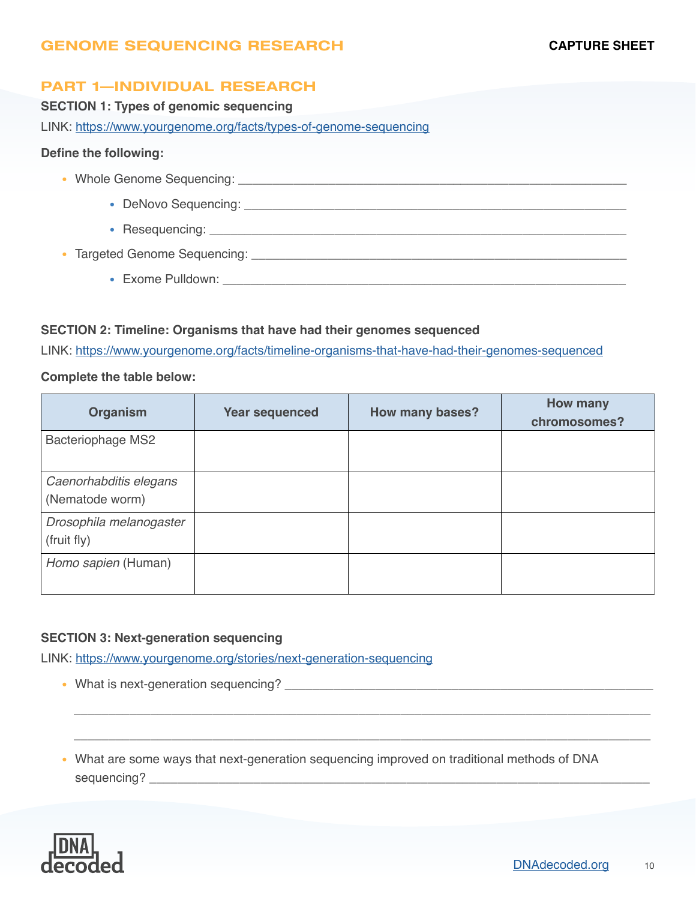### GENOME SEQUENCING RESEARCH

### PART 1—INDIVIDUAL RESEARCH

## **SECTION 1: Types of genomic sequencing**

LINK: <https://www.yourgenome.org/facts/types-of-genome-sequencing>

#### **Define the following:**

- Whole Genome Sequencing: \_\_\_\_\_\_\_\_\_\_\_\_\_\_\_\_\_\_\_\_\_\_\_\_\_\_\_\_\_\_\_\_\_\_\_\_\_\_\_\_\_\_\_\_\_\_\_\_\_\_\_\_\_\_\_\_
	- DeNovo Sequencing: \_\_\_\_\_\_\_\_\_\_\_\_\_\_\_\_\_\_\_\_\_\_\_\_\_\_\_\_\_\_\_\_\_\_\_\_\_\_\_\_\_\_\_\_\_\_\_\_\_\_\_\_\_\_\_
	- Resequencing:
- Targeted Genome Sequencing:  $\blacksquare$ 
	- Exome Pulldown: \_\_\_\_\_\_\_\_\_\_\_\_\_\_\_\_\_\_\_\_\_\_\_\_\_\_\_\_\_\_\_\_\_\_\_\_\_\_\_\_\_\_\_\_\_\_\_\_\_\_\_\_\_\_\_\_\_\_

### **SECTION 2: Timeline: Organisms that have had their genomes sequenced**

LINK: <https://www.yourgenome.org/facts/timeline-organisms-that-have-had-their-genomes-sequenced>

#### **Complete the table below:**

| <b>Organism</b>                           | <b>Year sequenced</b> | <b>How many bases?</b> | <b>How many</b><br>chromosomes? |
|-------------------------------------------|-----------------------|------------------------|---------------------------------|
| <b>Bacteriophage MS2</b>                  |                       |                        |                                 |
| Caenorhabditis elegans<br>(Nematode worm) |                       |                        |                                 |
| Drosophila melanogaster<br>(fruit fly)    |                       |                        |                                 |
| Homo sapien (Human)                       |                       |                        |                                 |

#### **SECTION 3: Next-generation sequencing**

LINK: <https://www.yourgenome.org/stories/next-generation-sequencing>

• What is next-generation sequencing? \_\_\_\_\_\_\_\_\_\_\_\_\_\_\_\_\_\_\_\_\_\_\_\_\_\_\_\_\_\_\_\_\_\_\_\_\_\_\_\_\_\_\_\_\_\_\_\_\_\_\_\_\_

• What are some ways that next-generation sequencing improved on traditional methods of DNA sequencing?

\_\_\_\_\_\_\_\_\_\_\_\_\_\_\_\_\_\_\_\_\_\_\_\_\_\_\_\_\_\_\_\_\_\_\_\_\_\_\_\_\_\_\_\_\_\_\_\_\_\_\_\_\_\_\_\_\_\_\_\_\_\_\_\_\_\_\_\_\_\_\_\_\_\_\_\_\_\_\_\_\_\_\_

\_\_\_\_\_\_\_\_\_\_\_\_\_\_\_\_\_\_\_\_\_\_\_\_\_\_\_\_\_\_\_\_\_\_\_\_\_\_\_\_\_\_\_\_\_\_\_\_\_\_\_\_\_\_\_\_\_\_\_\_\_\_\_\_\_\_\_\_\_\_\_\_\_\_\_\_\_\_\_\_\_\_\_

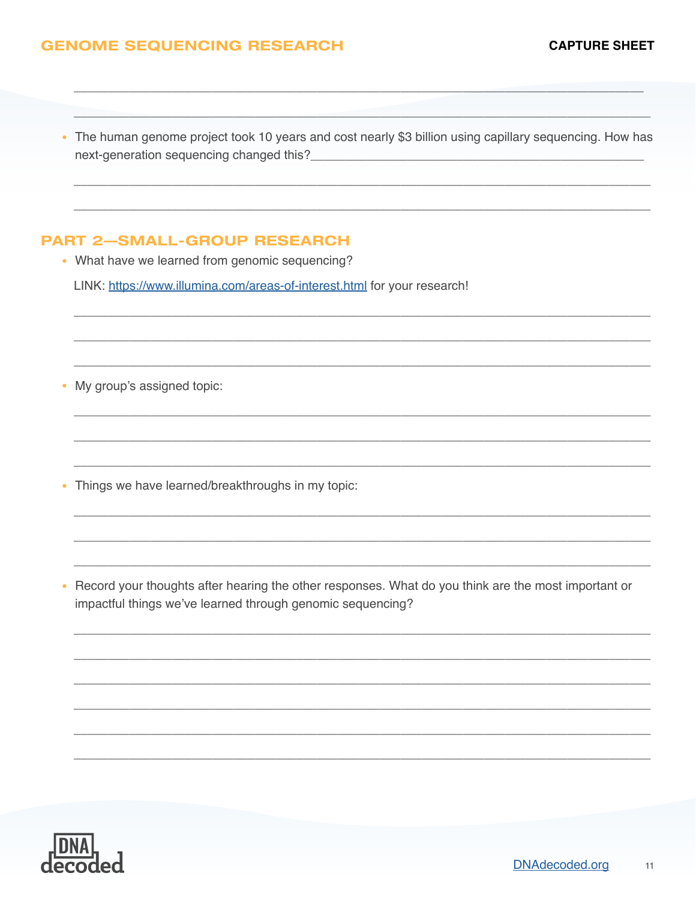• The human genome project took 10 years and cost nearly \$3 billion using capillary sequencing. How has next-generation sequencing changed this?\_

### **PART 2-SMALL-GROUP RESEARCH**

• What have we learned from genomic sequencing?

LINK: https://www.illumina.com/areas-of-interest.html for your research!

• My group's assigned topic:

• Things we have learned/breakthroughs in my topic:

• Record your thoughts after hearing the other responses. What do you think are the most important or impactful things we've learned through genomic sequencing?

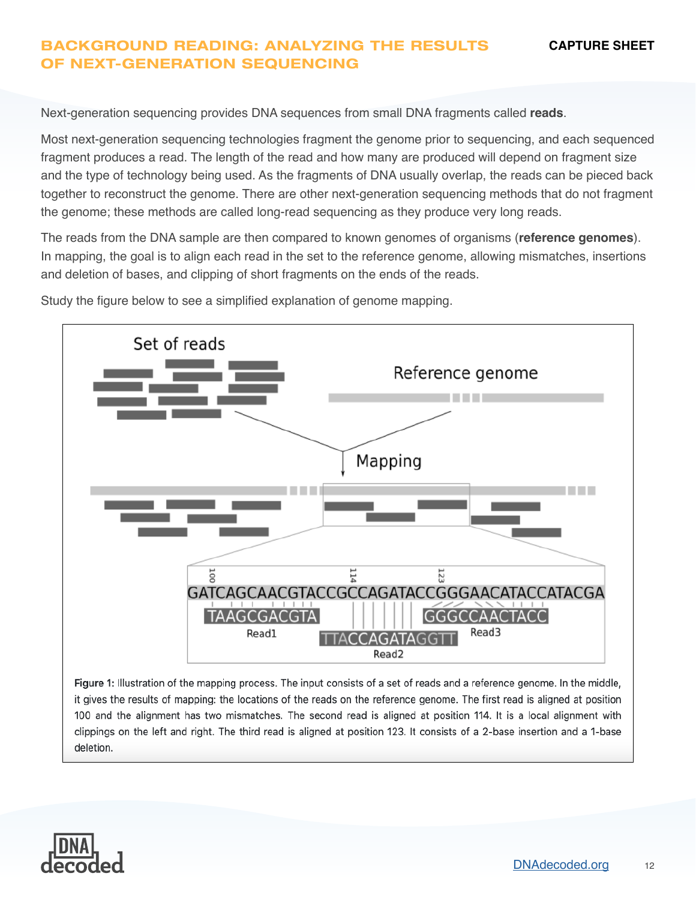### BACKGROUND READING: ANALYZING THE RESULTS OF NEXT-GENERATION SEQUENCING

Next-generation sequencing provides DNA sequences from small DNA fragments called **reads**.

Most next-generation sequencing technologies fragment the genome prior to sequencing, and each sequenced fragment produces a read. The length of the read and how many are produced will depend on fragment size and the type of technology being used. As the fragments of DNA usually overlap, the reads can be pieced back together to reconstruct the genome. There are other next-generation sequencing methods that do not fragment the genome; these methods are called long-read sequencing as they produce very long reads.

The reads from the DNA sample are then compared to known genomes of organisms (**reference genomes**). In mapping, the goal is to align each read in the set to the reference genome, allowing mismatches, insertions and deletion of bases, and clipping of short fragments on the ends of the reads.



Study the figure below to see a simplified explanation of genome mapping.

Figure 1: Illustration of the mapping process. The input consists of a set of reads and a reference genome. In the middle, it gives the results of mapping: the locations of the reads on the reference genome. The first read is aligned at position 100 and the alignment has two mismatches. The second read is aligned at position 114. It is a local alignment with clippings on the left and right. The third read is aligned at position 123. It consists of a 2-base insertion and a 1-base deletion.

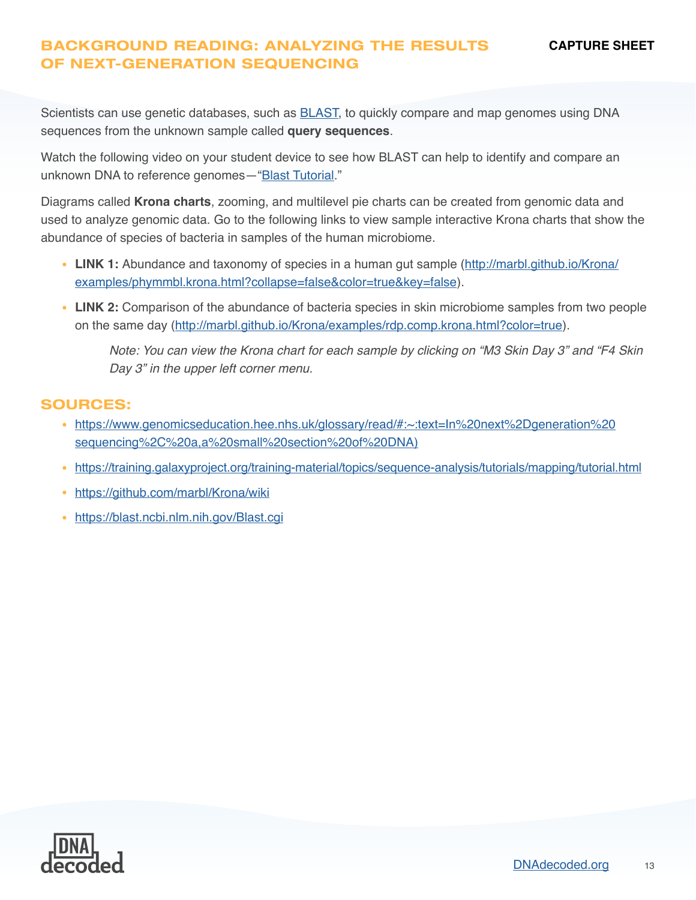### BACKGROUND READING: ANALYZING THE RESULTS OF NEXT-GENERATION SEQUENCING

Scientists can use genetic databases, such as **BLAST**, to quickly compare and map genomes using DNA sequences from the unknown sample called **query sequences**.

Watch the following video on your student device to see how BLAST can help to identify and compare an unknown DNA to reference genomes-["Blast Tutorial](https://www.youtube.com/watch?v=UDdIzNibERQ)."

Diagrams called **Krona charts**, zooming, and multilevel pie charts can be created from genomic data and used to analyze genomic data. Go to the following links to view sample interactive Krona charts that show the abundance of species of bacteria in samples of the human microbiome.

- LINK 1: Abundance and taxonomy of species in a human gut sample ([http://marbl.github.io/Krona/](http://marbl.github.io/Krona/examples/phymmbl.krona.html?collapse=false&color=true&key=false) [examples/phymmbl.krona.html?collapse=false&color=true&key=false\)](http://marbl.github.io/Krona/examples/phymmbl.krona.html?collapse=false&color=true&key=false).
- **LINK 2:** Comparison of the abundance of bacteria species in skin microbiome samples from two people on the same day [\(http://marbl.github.io/Krona/examples/rdp.comp.krona.html?color=true\)](http://marbl.github.io/Krona/examples/rdp.comp.krona.html?color=true).

Note: You can view the Krona chart for each sample by clicking on "M3 Skin Day 3" and "F4 Skin Day 3" in the upper left corner menu.

### SOURCES:

- [https://www.genomicseducation.hee.nhs.uk/glossary/read/#:~:text=In%20next%2Dgeneration%20](https://www.genomicseducation.hee.nhs.uk/glossary/read/#:~:text=In%20next%2Dgeneration%20sequencing%2C%20a,a%20small%20section%20of%20DNA)) [sequencing%2C%20a,a%20small%20section%20of%20DNA\)](https://www.genomicseducation.hee.nhs.uk/glossary/read/#:~:text=In%20next%2Dgeneration%20sequencing%2C%20a,a%20small%20section%20of%20DNA))
- <https://training.galaxyproject.org/training-material/topics/sequence-analysis/tutorials/mapping/tutorial.html>
- <https://github.com/marbl/Krona/wiki>
- <https://blast.ncbi.nlm.nih.gov/Blast.cgi>

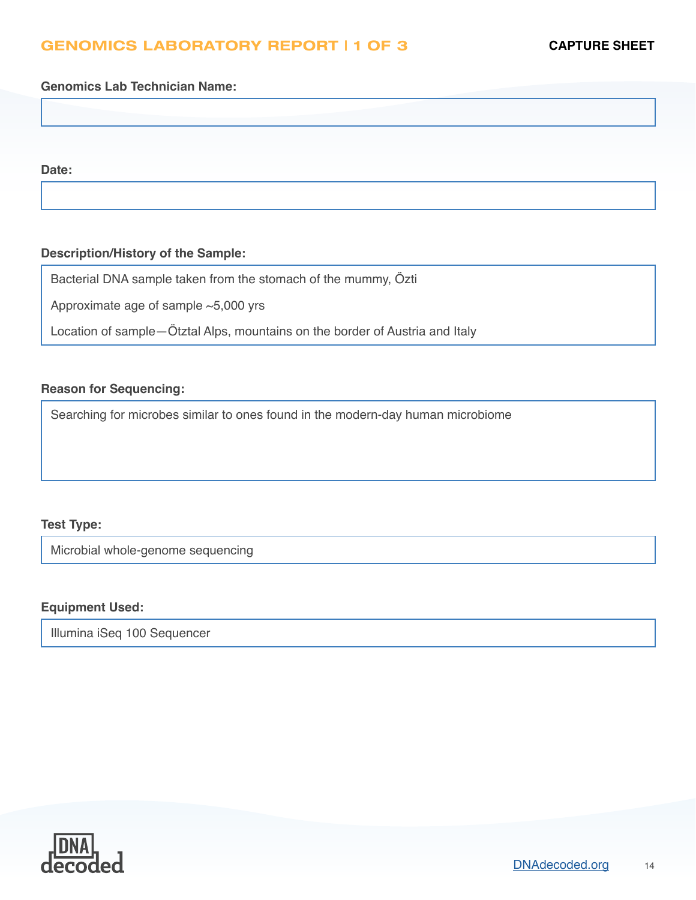### GENOMICS LABORATORY REPORT | 1 OF 3

### **Genomics Lab Technician Name:**

**Date:**

### **Description/History of the Sample:**

Bacterial DNA sample taken from the stomach of the mummy, Özti

Approximate age of sample ~5,000 yrs

Location of sample—Ötztal Alps, mountains on the border of Austria and Italy

### **Reason for Sequencing:**

Searching for microbes similar to ones found in the modern-day human microbiome

### **Test Type:**

Microbial whole-genome sequencing

#### **Equipment Used:**

Illumina iSeq 100 Sequencer

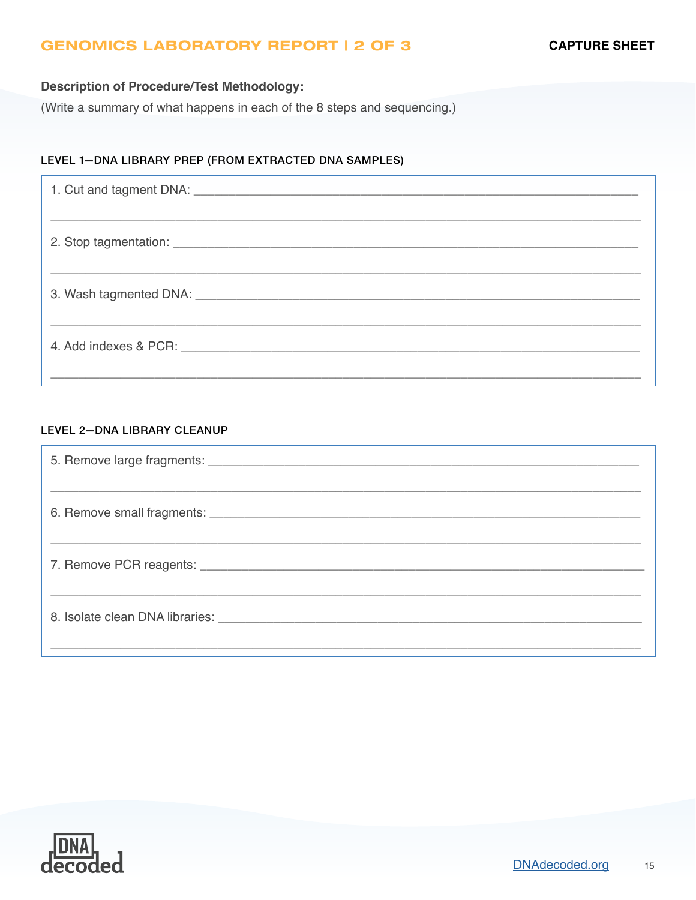### **GENOMICS LABORATORY REPORT | 2 OF 3**

### **Description of Procedure/Test Methodology:**

(Write a summary of what happens in each of the 8 steps and sequencing.)

#### LEVEL 1-DNA LIBRARY PREP (FROM EXTRACTED DNA SAMPLES)

| <u>,这就是一个人的人,我们就是一个人的人,我们就是一个人的人,我们就是一个人的人,我们就是一个人的人,我们就是一个人的人,我们就是一个人的人,我们就是一个人的人</u> |
|----------------------------------------------------------------------------------------|

#### LEVEL 2-DNA LIBRARY CLEANUP

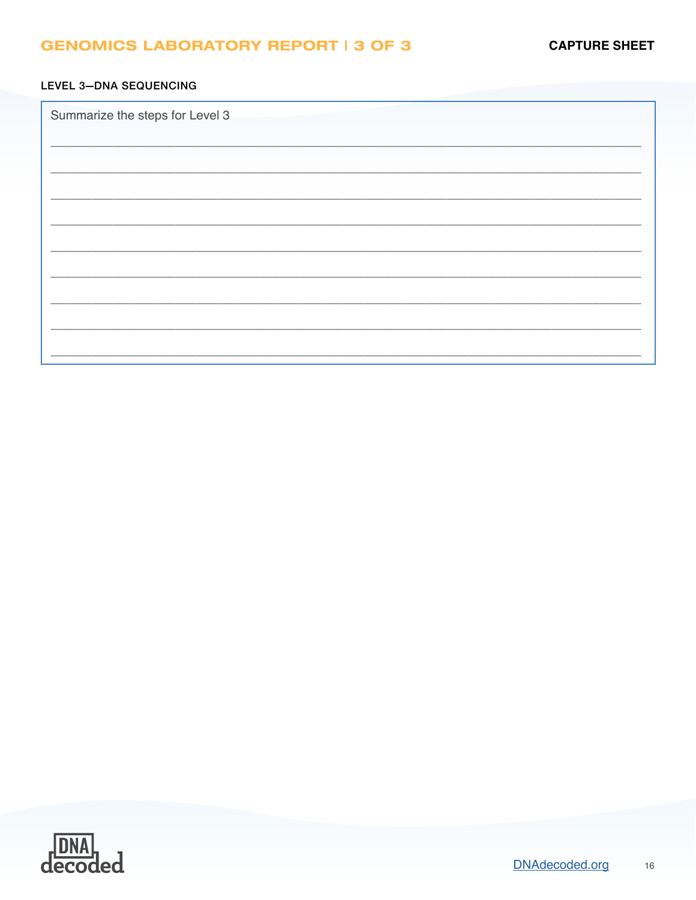### **GENOMICS LABORATORY REPORT | 3 OF 3**

### LEVEL 3-DNA SEQUENCING

Summarize the steps for Level 3

| Summarize the steps for Level 3 |  |  |  |
|---------------------------------|--|--|--|
|                                 |  |  |  |
|                                 |  |  |  |
|                                 |  |  |  |
|                                 |  |  |  |
|                                 |  |  |  |
|                                 |  |  |  |
|                                 |  |  |  |
|                                 |  |  |  |
|                                 |  |  |  |
|                                 |  |  |  |
|                                 |  |  |  |
|                                 |  |  |  |
|                                 |  |  |  |
|                                 |  |  |  |

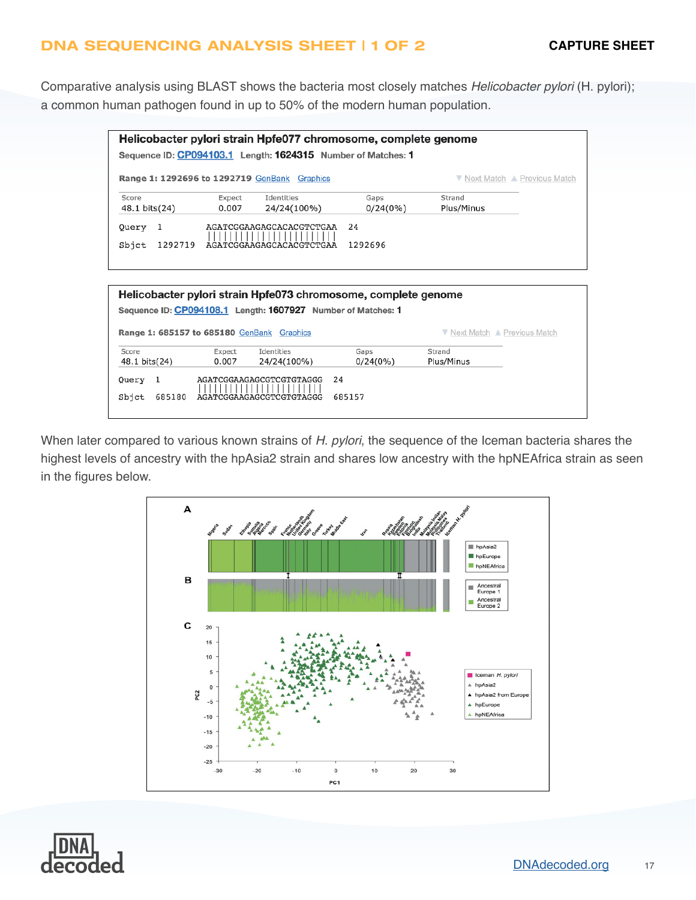### DNA SEQUENCING ANALYSIS SHEET | 1 OF 2

### **CAPTURE SHEET**

Comparative analysis using BLAST shows the bacteria most closely matches *Helicobacter pylori* (H. pylori); a common human pathogen found in up to 50% of the modern human population.

|                                                                                                                                        |                 | Range 1: 1292696 to 1292719 GenBank Graphics                 |                     | ▼ Next Match ▲ Previous Match |  |
|----------------------------------------------------------------------------------------------------------------------------------------|-----------------|--------------------------------------------------------------|---------------------|-------------------------------|--|
| Score<br>48.1 bits(24)                                                                                                                 | Expect<br>0.007 | Identities<br>24/24(100%)                                    | Gaps<br>$0/24(0\%)$ | Strand<br>Plus/Minus          |  |
| -1<br>Ouery<br>1292719<br>Sbict                                                                                                        |                 | AGATCGGAAGAGCACACGTCTGAA<br>AGATCGGAAGAGCACACGTCTGAA         | 24<br>1292696       |                               |  |
|                                                                                                                                        |                 |                                                              |                     |                               |  |
|                                                                                                                                        |                 |                                                              |                     |                               |  |
|                                                                                                                                        |                 | Sequence ID: CP094108.1 Length: 1607927 Number of Matches: 1 |                     | ▼ Next Match ▲ Previous Match |  |
| Helicobacter pylori strain Hpfe073 chromosome, complete genome<br>Range 1: 685157 to 685180 GenBank Graphics<br>Score<br>48.1 bits(24) | Expect<br>0.007 | Identities<br>24/24(100%)                                    | Gaps<br>$0/24(0\%)$ | Strand<br>Plus/Minus          |  |

When later compared to various known strains of *H. pylori*, the sequence of the Iceman bacteria shares the highest levels of ancestry with the hpAsia2 strain and shares low ancestry with the hpNEAfrica strain as seen in the figures below.



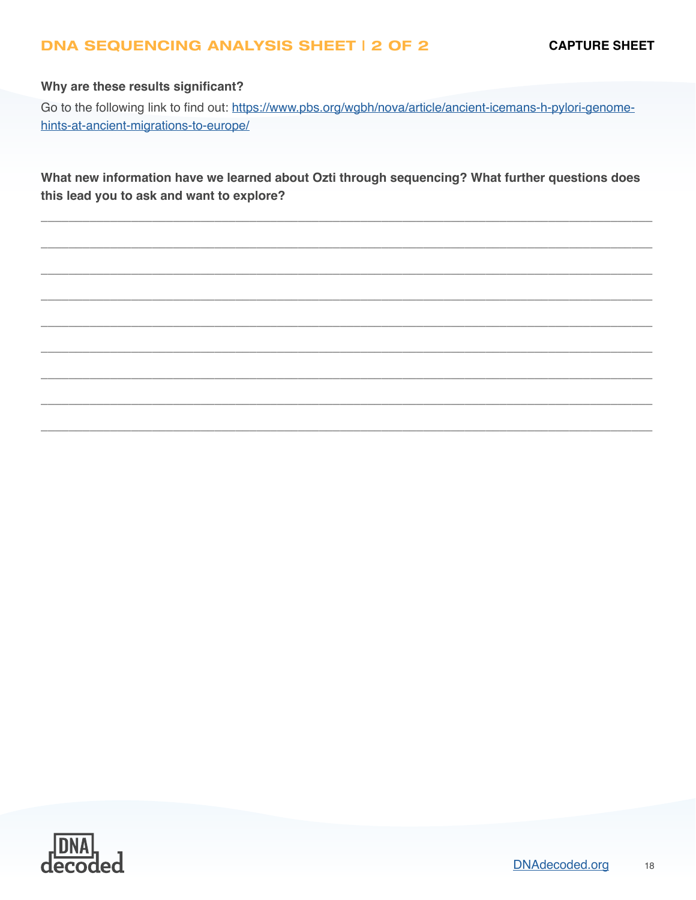### **DNA SEQUENCING ANALYSIS SHEET | 2 OF 2**

### Why are these results significant?

Go to the following link to find out: https://www.pbs.org/wgbh/nova/article/ancient-icemans-h-pylori-genomehints-at-ancient-migrations-to-europe/

What new information have we learned about Ozti through sequencing? What further questions does this lead you to ask and want to explore?

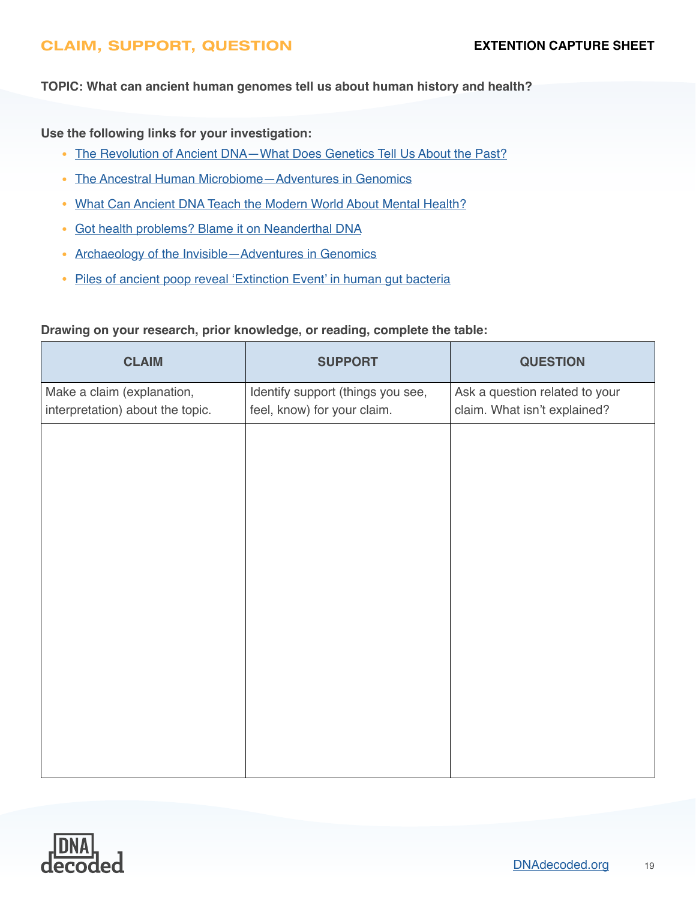### CLAIM, SUPPORT, QUESTION

### **TOPIC: What can ancient human genomes tell us about human history and health?**

**Use the following links for your investigation:**

- [The Revolution of Ancient DNA—What Does Genetics Tell Us About the Past?](https://kids.frontiersin.org/articles/10.3389/frym.2019.00024)
- [The Ancestral Human Microbiome—Adventures in Genomics](https://www.youtube.com/watch?v=UNm8dVHBA7I&list=PLKRu7cmBQlah8wHBByBXEO0dNW-xNvvX_&index=24&t=223s)
- [What Can Ancient DNA Teach the Modern World About Mental Health?](https://www.illumina.com/company/video-hub/7TNcHLBOLxw.html)
- [Got health problems? Blame it on Neanderthal DNA](https://www.pbs.org/newshour/science/got-health-problems-blame-it-on-neanderthal-dna)
- Archaeology of the Invisible-Adventures in Genomics
- [Piles of ancient poop reveal 'Extinction Event' in human gut bacteria](https://www.science.org/content/article/piles-ancient-poop-reveal-extinction-event-human-gut-bacteria)

#### **Drawing on your research, prior knowledge, or reading, complete the table:**

| <b>CLAIM</b>                     | <b>SUPPORT</b>                    | <b>QUESTION</b>                |
|----------------------------------|-----------------------------------|--------------------------------|
| Make a claim (explanation,       | Identify support (things you see, | Ask a question related to your |
| interpretation) about the topic. | feel, know) for your claim.       | claim. What isn't explained?   |
|                                  |                                   |                                |
|                                  |                                   |                                |
|                                  |                                   |                                |
|                                  |                                   |                                |
|                                  |                                   |                                |
|                                  |                                   |                                |
|                                  |                                   |                                |
|                                  |                                   |                                |
|                                  |                                   |                                |
|                                  |                                   |                                |
|                                  |                                   |                                |
|                                  |                                   |                                |
|                                  |                                   |                                |
|                                  |                                   |                                |
|                                  |                                   |                                |
|                                  |                                   |                                |
|                                  |                                   |                                |
|                                  |                                   |                                |